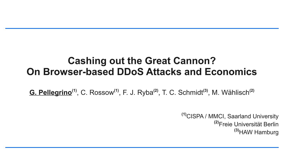### **Cashing out the Great Cannon? On Browser-based DDoS Attacks and Economics**

**G. Pellegrino(1)**, C. Rossow**(1)**, F. J. Ryba**(2)**, T. C. Schmidt**(3)**, M. Wählisch **(2)**

### **(1)**CISPA / MMCI, Saarland University **(2)**Freie Universität Berlin **(3)**HAW Hamburg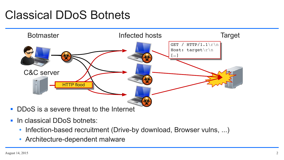

## Classical DDoS Botnets



- **DDoS** is a severe threat to the Internet
- **In classical DDoS botnets:** 
	- Infection-based recruitment (Drive-by download, Browser vulns, ...)
	- Architecture-dependent malware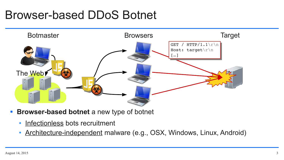### Browser-based DDoS Botnet



- **Browser-based botnet** a new type of botnet
	- Infectionless bots recruitment
	- Architecture-independent malware (e.g., OSX, Windows, Linux, Android)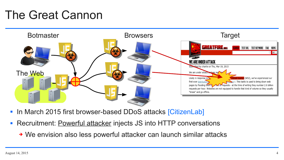| larget |               |                 |                                                                                                                                                                                                                            |     |                    |
|--------|---------------|-----------------|----------------------------------------------------------------------------------------------------------------------------------------------------------------------------------------------------------------------------|-----|--------------------|
|        | <b>SEARCH</b> | <b>TEST URL</b> | <b>TEST KEYWORD</b>                                                                                                                                                                                                        | FAQ | <b>NEWS</b><br>All |
|        |               |                 |                                                                                                                                                                                                                            |     |                    |
| 9,2015 |               |                 | Street Journal (WSJ), we've experienced our<br><b>SCKET</b> . This tactic is used to bring down web<br>requests - at the time of writing they number 2.6 billion<br>equipped to handle that kind of volume so they usually |     |                    |

## The Great Cannon

- In March 2015 first browser-based DDoS attacks [CitizenLab]
- **Recruitment: Powerful attacker injects JS into HTTP conversations** 
	- ➔ We envision also less powerful attacker can launch similar attacks

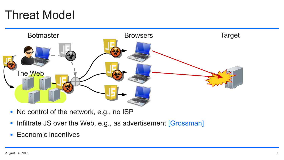## Threat Model

- No control of the network, e.g., no ISP
- **Infiltrate JS over the Web, e.g., as advertisement [Grossman]**
- **Economic incentives**

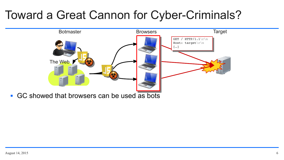

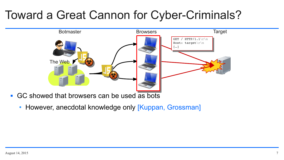

- **GC** showed that browsers can be used as bots
	- However, anecdotal knowledge only [Kuppan, Grossman]

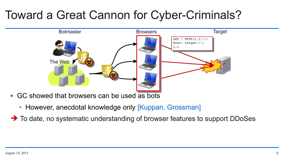

- **GC** showed that browsers can be used as bots
	- However, anecdotal knowledge only [Kuppan, Grossman]
- ➔ To date, no systematic understanding of browser features to support DDoSes

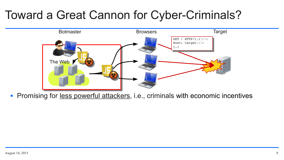

**Promising for less powerful attackers**, i.e., criminals with economic incentives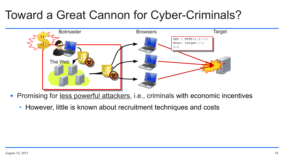

- **Promising for less powerful attackers**, i.e., criminals with economic incentives
	- However, little is known about recruitment techniques and costs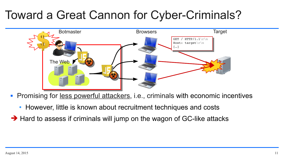- However, little is known about recruitment techniques and costs
- ➔ Hard to assess if criminals will jump on the wagon of GC-like attacks



**Promising for less powerful attackers**, i.e., criminals with economic incentives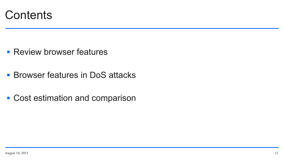

- **Review browser features**
- **Browser features in DoS attacks**
- Cost estimation and comparison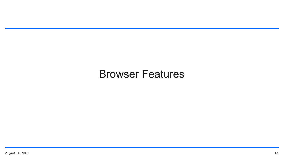### Browser Features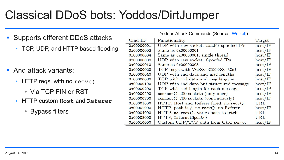## Classical DDoS bots: Yoddos/DirtJumper

- Supports different DDoS attacks
	- TCP, UDP, and HTTP based flooding
- **And attack variants:** 
	- HTTP reqs. with no  $rev()$ 
		- Via TCP FIN or RST
	- **HTTP custom Host and Referer** 
		- Bypass filters

| <b>Yoddos Attack Commands (Source [Welzel])</b>                             |           |
|-----------------------------------------------------------------------------|-----------|
| Functionality                                                               | Target    |
| JDP with raw socket. rand() spoofed IPs                                     | host/IP   |
| $Same$ as $0x00000001$                                                      | host/IP   |
| Same as 0x00000001, single thread                                           | host/IP   |
| JDP with raw socket. Spoofed IPs                                            | host/IP   |
| $\text{Same}$ as $0x00000008$                                               | host/IP   |
| TCP msgs with \%d<<<< <i@c<<<<<\%s!< td=""><td>host/IP</td></i@c<<<<<\%s!<> | host/IP   |
| JDP with rnd data and msg lengths                                           | host/IP   |
| TCP with rnd data and msg lengths                                           | host/IP   |
| JDP with rnd data but structured message                                    | host/IP   |
| TCP with rnd length for each message                                        | host/IP   |
| connect() 200 sockets (only once)                                           | host/IP   |
| connect() 200 sockets (continuously)                                        | host/IP   |
| HTTP, Host and Referer fixed, no recv()                                     | $\rm URL$ |
| HTTP, path is /, no recv(), no Referer                                      | host/IP   |
| HTTP, no recv(), varies path to fetch                                       | URL       |
| HTTP, Internet0penA()                                                       | $\rm URL$ |
| Custom $\text{UDP}/\text{TCP}$ data from $C\&C$ server                      | host/IP   |

| Yoddos Attack Commands (Source  Welzel ) |                                                                             |         |
|------------------------------------------|-----------------------------------------------------------------------------|---------|
| $Cmd$ ID                                 | Functionality                                                               | Target  |
| 0x00000001                               | UDP with raw socket. rand() spoofed IPs                                     | host/IP |
| 0x00000002                               | Same as 0x00000001                                                          | host/IP |
| 0x00000004                               | Same as 0x00000001, single thread                                           | host/IP |
| 0x00000008                               | UDP with raw socket. Spoofed IPs                                            | host/IP |
| 0x00000010                               | Same as 0x00000008                                                          | host/IP |
| 0x00000020                               | TCP msgs with \%d<<<< <i@c<<<<<\%s!< td=""><td>host/IP</td></i@c<<<<<\%s!<> | host/IP |
| 0x00000040                               | UDP with rnd data and msg lengths                                           | host/IP |
| 0x00000080                               | TCP with rnd data and msg lengths                                           | host/IP |
| 0x00000100                               | UDP with rnd data but structured message                                    | host/IP |
| 0x00000200                               | TCP with rnd length for each message                                        | host/IP |
| 0x00000400                               | connect () 200 sockets (only once)                                          | host/IP |
| 0x00000800                               | connect() 200 sockets (continuously)                                        | host/IP |
| 0x00001000                               | HTTP, Host and Referer fixed, no recv()                                     | URL     |
| 0x00002000                               | HTTP, path is /, no rev(), no Referer                                       | host/IP |
| 0x00004000                               | HTTP, no recv(), varies path to fetch                                       | URL     |
| 0x00008000                               | HTTP, InternetOpenA()                                                       | URL     |
| 0x00010000                               | Custom $UDP/TCP$ data from $C&C$ server                                     | host/IP |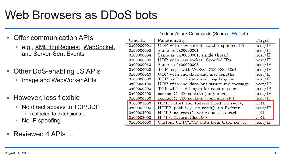## Web Browsers as DDoS bots

- **Offer communication APIs** 
	- e.g., XMLHttpRequest, WebSocket, and Server-Sent Events
- Other DoS-enabling JS APIs
	- Image and WebWorker APIs
- **However, less flexible** 
	- No direct access to TCP/UDP • restricted to extensions...
	- No IP spoofing
- **Reviewed 4 APIs ...**

| Yoddos Attack Commands (Source [Welzel]) |                                                                             |              |
|------------------------------------------|-----------------------------------------------------------------------------|--------------|
| $Cmd$ ID                                 | Functionality                                                               | Target       |
| 0x00000001                               | UDP with raw socket. rand() spoofed IPs                                     | host/IP      |
| 0x00000002                               | Same as 0x00000001                                                          | host/IP      |
| 0x00000004                               | Same as 0x00000001, single thread                                           | host/IP      |
| 0x00000008                               | UDP with raw socket. Spoofed IPs                                            | host/IP      |
| 0x00000010                               | Same as 0x00000008                                                          | host/IP      |
| 0x00000020                               | TCP msgs with \%d<<<< <i@c<<<<<\%s!< td=""><td>host/IP</td></i@c<<<<<\%s!<> | host/IP      |
| 0x00000040                               | UDP with rnd data and msg lengths                                           | host/IP      |
| 0x00000080                               | TCP with rnd data and msg lengths                                           | host/IP      |
| 0x00000100                               | UDP with rnd data but structured message                                    | host/IP      |
| 0x00000200                               | TCP with rnd length for each message                                        | host/IP      |
| 0x00000400                               | connect () 200 sockets (only once)                                          | host/IP      |
| 0x00000800                               | connect() 200 sockets (continuously)                                        | host/IP      |
| 0x00001000                               | HTTP, Host and Referer fixed, no recv()                                     | $\rm URL$    |
| 0x00002000                               | HTTP, path is /, no rev(), no Referer                                       | host/IP      |
| 0x00004000                               | HTTP, no recv(), varies path to fetch                                       | URL          |
| 0x00008000                               | HTTP, InternetOpenA()                                                       | $_{\rm URL}$ |
| 0x00010000                               | Custom UDP/TCP data from C&C server                                         | host/IP      |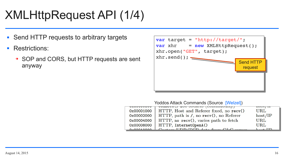# XMLHttpRequest API (1/4)

- Send HTTP requests to arbitrary targets
- **Restrictions:** 
	- ➔ SOP and CORS, but HTTP requests are sent anyway

| var target = "http://target/";<br>$var$ xhr = $new$ XMLHttpRequest();<br>xhr.open("GET", target); |                            |
|---------------------------------------------------------------------------------------------------|----------------------------|
| xhr.send();                                                                                       | <b>Send HTT</b><br>request |
|                                                                                                   |                            |



|            | Yoddos Attack Commands (Source [Welzel]) |         |
|------------|------------------------------------------|---------|
|            | comments and pockets from and ability    |         |
| 0x00001000 | HTTP, Host and Referer fixed, no recv()  | URL     |
| 0x00002000 | $HTTP, path is /, no$ recv(), no Referer | host/IP |
| 0x00004000 | HTTP, no recv(), varies path to fetch    | URL     |
| 0x00008000 | HTTP, Internet0penA()                    | URL     |
|            | $HDD/TCD \text{ and } GCD$               |         |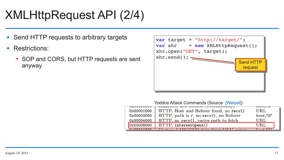# XMLHttpRequest API (2/4)

- Send HTTP requests to arbitrary targets
- **Restrictions:** 
	- ➔ SOP and CORS, but HTTP requests are sent anyway

| var target = "http://target/";<br>$var$ xhr = $new$ XMLHttpRequest();<br>xhr.open("GET", target); |                                   |
|---------------------------------------------------------------------------------------------------|-----------------------------------|
|                                                                                                   | <b>Send HTT</b><br><b>request</b> |
|                                                                                                   |                                   |



| <b>UAUUUUUUUU</b> | comments and pockets (commitments)               | 11000/11 |
|-------------------|--------------------------------------------------|----------|
| 0x00001000        | HTTP, Host and Referer fixed, no recv()          | URL      |
| 0x00002000        | $HTTP$ , path is $/$ , no recv $()$ , no Referer | host/IP  |
| 0x00004000        | HTTP, no recv(), varies path to fetch            | URL      |
|                   | 0x00008000   HTTP, Internet0penA()               | URL      |
|                   |                                                  |          |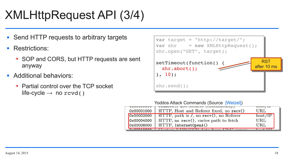# XMLHttpRequest API (3/4)

- Send HTTP requests to arbitrary targets
- **Restrictions:** 
	- ➔ SOP and CORS, but HTTP requests are sent anyway
- **Additional behaviors:** 
	- ➔ Partial control over the TCP socket life-cycle  $\rightarrow$  no rcvd()

```
var target = "http://target/";
var target = "http://target/";
var xhr    = new XMLHttpRequest();
var xhr    = new XMLHttpRequest();
xhr.open("GET", target);
xhr.open("GET", target);
setTimeout(function() {
setTimeout(function() {
  xhr.abort();
  xhr.abort();
}, 10);
}, 10);
xhr.send();
xhr.send();
```


|            | comment, and pockets from anomally                                            | 1100011 |
|------------|-------------------------------------------------------------------------------|---------|
| 0x00001000 | HTTP, Host and Referer fixed, no recv()                                       | URL     |
| 0x00002000 | $HTTP$ , path is $\ell$ , no recv(), no Referer                               | host/IP |
| 0x00004000 | HTTP, no recv(), varies path to fetch                                         | URL     |
| 0x00008000 | HTTP, Internet0penA()                                                         | URL     |
|            | $\mathbf{L}_{\text{max}}$ in the main<br>$\sim$ from $\Omega_{\nu}$ or $\sim$ |         |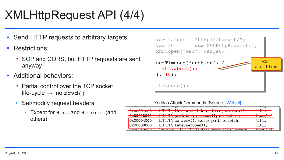# XMLHttpRequest API (4/4)

- Send HTTP requests to arbitrary targets
- **Restrictions:** 
	- ➔ SOP and CORS, but HTTP requests are sent anyway
- **Additional behaviors:** 
	- ➔ Partial control over the TCP socket life-cycle  $\rightarrow$  no rcvd()
	- Set/modify request headers
		- Except for Host and Referer (and others)

| var target = "http://target/";<br>$var xhr$ = new XMLHttpRequest();<br>xhr.open("GET", target); |
|-------------------------------------------------------------------------------------------------|
| $setTimeout(function() \{$<br>$xhrabort()$ ;<br>$}, 10);$                                       |
| xhr.send();                                                                                     |





|             | <b>COMMODALLY</b>                                                                                                        |
|-------------|--------------------------------------------------------------------------------------------------------------------------|
| $0.2001000$ | <b>ITOOD II</b>                                                                                                          |
|             | CHIU IUCICI IIACU                                                                                                        |
| 0.0000000   | $\mathbf{H} \mathbf{H} \mathbf{H} \mathbf{H}$                                                                            |
|             | PQUII                                                                                                                    |
| 0x00004000  | $HTTP$ , no $recv()$ , varies path                                                                                       |
| 0x00008000  | HTTP, InternetOpenA()                                                                                                    |
|             | <b>By Present Market Development of the United States of the United States of the United States of the United States</b> |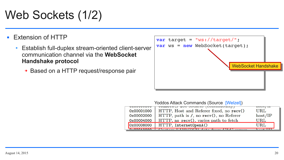# Web Sockets (1/2)

### Extension of HTTP

- Establish full-duplex stream-oriented client-server communication channel via the **WebSocket Handshake protocol**
	- ➔ Based on a HTTP request/response pair



|            | Yoddos Attack Commands (Source [Welzel])     |          |
|------------|----------------------------------------------|----------|
|            | comment, and pockets (communicatif)          | 11000711 |
| 0x00001000 | HTTP, Host and Referer fixed, no recv()      | URL      |
| 0x00002000 | $HTTP$ , path is $/$ , no recv(), no Referer | host/IP  |
| 0x00004000 | HTTP, no recv(), varies path to fetch        | URL      |
| 0x00008000 | HTTP, Internet0penA()                        | URL      |
|            |                                              |          |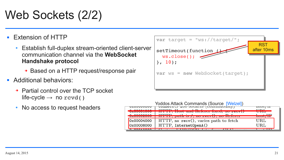# Web Sockets (2/2)

### Extension of HTTP

- Establish full-duplex stream-oriented client-server communication channel via the **WebSocket Handshake protocol**
	- ➔ Based on a HTTP request/response pair
- **Additional behaviors:** 
	- ➔ Partial control over the TCP socket life-cycle  $\rightarrow$  no rcvd()
	- No access to request headers

```
var target = "ws://target/";
var target = "ws://target/";
setTimeout(function
  ws.close();
  ws.close();
}, 10);
}, 10);
var ws = new WebSocket(target);
var ws = new WebSocket(target);
```




|                   | comment,                           |
|-------------------|------------------------------------|
| C COOCHOOO        | $\mathbf{H}$                       |
| <b>UAUUUUIUUU</b> | III II, HUDU GHU IUUIUI HAUU       |
| $0 - 00000000$    | $IIPMD = A1: A1 = A$               |
|                   | $P$ CVVII 10<br>$\frac{1}{2}$      |
| 0x00004000        | $HTTP$ , no $recv()$ , varies path |
|                   |                                    |
| 0x00008000        | HTTP, InternetOpenA()              |
|                   |                                    |
|                   | <i>Cost in TIDD IDOD</i> data from |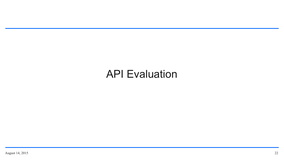### API Evaluation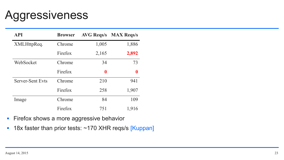## Aggressiveness

| <b>API</b>              | <b>Browser</b> | <b>AVG Reqs/s</b> | <b>MAX Regs/s</b> |  |
|-------------------------|----------------|-------------------|-------------------|--|
| XMLHttpReq.             | Chrome         | 1,005             | 1,886             |  |
|                         | Firefox        | 2,165             | 2,892             |  |
| WebSocket               | Chrome         | 34                | 73                |  |
|                         | Firefox        | $\mathbf 0$       | $\mathbf 0$       |  |
| <b>Server-Sent Evts</b> | Chrome         | 210               | 941               |  |
|                         | Firefox        | 258               | 1,907             |  |
| Image                   | Chrome         | 84                | 109               |  |
|                         | Firefox        | 751               | 1,916             |  |

- **Firefox shows a more aggressive behavior**
- 18x faster than prior tests: ~170 XHR reqs/s [Kuppan]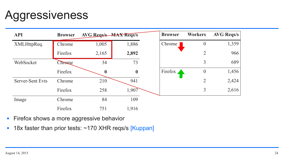| <b>Reqs/s</b> |
|---------------|
| 1,359         |
| 966           |
| 689           |
| 1,456         |
| 2,424         |
| 2,616         |

## Aggressiveness

| <b>API</b>              | <b>Browser</b> | <b>AVG Regs/s MAX Regs/s</b> |                  | <b>Browser</b> | <b>Workers</b>   | <b>AVG Reqs/s</b> |
|-------------------------|----------------|------------------------------|------------------|----------------|------------------|-------------------|
| XMLHttpReq.             | Chrome         | 1,005                        | 1,886            | Chrome         | $\overline{0}$   | 1,359             |
|                         | Firefox        | 2,165                        | 2,892            |                | $\overline{2}$   | 966               |
| WebSocket               | Chrome         | 34                           | 73               |                | 3                | 689               |
|                         | Firefox        | $\boldsymbol{0}$             | $\boldsymbol{0}$ | Firefox        | $\boldsymbol{0}$ | 1,456             |
| <b>Server-Sent Evts</b> | Chrome         | 210                          | 941              |                | $\overline{2}$   | 2,424             |
|                         | Firefox        | 258                          | 1,907            |                | $\overline{3}$   | 2,616             |
| Image                   | Chrome         | 84                           | 109              |                |                  |                   |
|                         | Firefox        | 751                          | 1,916            |                |                  |                   |

- **Firefox shows a more aggressive behavior**
- 18x faster than prior tests: ~170 XHR reqs/s [Kuppan]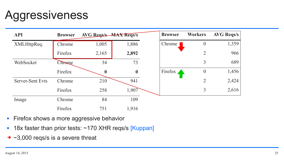| <b>Reqs/s</b> |
|---------------|
| 1,359         |
| 966           |
| 689           |
| 1,456         |
| 2,424         |
| 2,616         |

## Aggressiveness

- **Firefox shows a more aggressive behavior**
- 18x faster than prior tests: ~170 XHR reqs/s [Kuppan]
- ➔ ~3,000 reqs/s is a severe threat

| <b>API</b>              | <b>Browser</b> | <b>AVG Regs/s MAX Regs/s</b> |                  | <b>Browser</b> | <b>Workers</b>   | <b>AVG Reqs/s</b> |
|-------------------------|----------------|------------------------------|------------------|----------------|------------------|-------------------|
| XMLHttpReq.             | Chrome         | 1,005                        | 1,886            | Chrome         | $\overline{0}$   | 1,359             |
|                         | Firefox        | 2,165                        | 2,892            |                | $\overline{2}$   | 966               |
| WebSocket               | Chrome         | 34                           | 73               |                | 3                | 689               |
|                         | Firefox        | $\mathbf 0$                  | $\boldsymbol{0}$ | Firefox        | $\boldsymbol{0}$ | 1,456             |
| <b>Server-Sent Evts</b> | Chrome         | 210                          | 941              |                | $\overline{2}$   | 2,424             |
|                         | Firefox        | 258                          | 1,907            |                | $\overline{3}$   | 2,616             |
| Image                   | Chrome         | 84                           | 109              |                |                  |                   |
|                         | Firefox        | 751                          | 1,916            |                |                  |                   |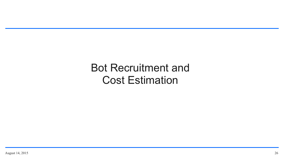### Bot Recruitment and Cost Estimation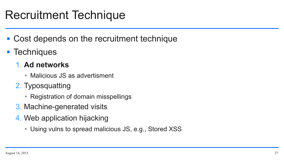- Cost depends on the recruitment technique
- **F** Techniques

## Recruitment Technique

### 1. **Ad networks**

- Malicious JS as advertisment
- 2. Typosquatting
	- Registration of domain misspellings
- 3. Machine-generated visits
- 4. Web application hijacking
	- Using vulns to spread malicious JS, e.g., Stored XSS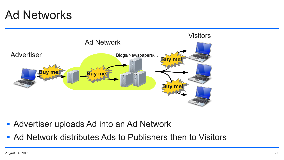## Ad Networks

- **Advertiser uploads Ad into an Ad Network**
- Ad Network distributes Ads to Publishers then to Visitors

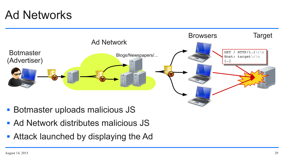### **Target**

## Ad Networks



- **Botmaster uploads malicious JS**
- Ad Network distributes malicious JS
- **Attack launched by displaying the Ad**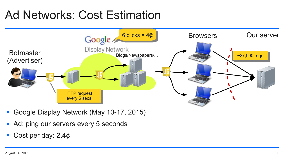## Ad Networks: Cost Estimation



- Google Display Network (May 10-17, 2015)
- Ad: ping our servers every 5 seconds
- Cost per day: 2.4¢

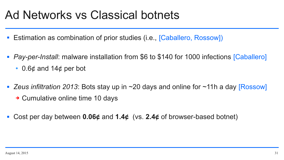## Ad Networks vs Classical botnets

- **E** Estimation as combination of prior studies (i.e., [Caballero, Rossow])
- *Pay-per-Install*: malware installation from \$6 to \$140 for 1000 infections [Caballero]
	- 0.6 $\phi$  and 14 $\phi$  per bot
- Zeus infiltration 2013: Bots stay up in ~20 days and online for ~11h a day **Rossow** 
	- ➔ Cumulative online time 10 days
- Cost per day between **0.06¢** and **1.4¢** (vs. **2.4¢** of browser-based botnet)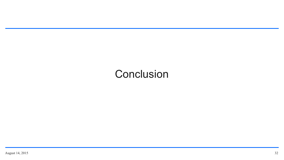### **Conclusion**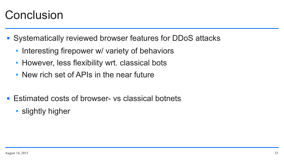## **Conclusion**

- Systematically reviewed browser features for DDoS attacks
	- Interesting firepower w/ variety of behaviors
	- However, less flexibility wrt. classical bots
	- New rich set of APIs in the near future
- Estimated costs of browser- vs classical botnets
	- slightly higher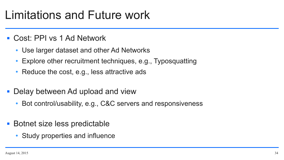## Limitations and Future work

- Cost: PPI vs 1 Ad Network
	- Use larger dataset and other Ad Networks
	- Explore other recruitment techniques, e.g., Typosquatting
	- Reduce the cost, e.g., less attractive ads
- Delay between Ad upload and view
	- Bot control/usability, e.g., C&C servers and responsiveness
- Botnet size less predictable
	- Study properties and influence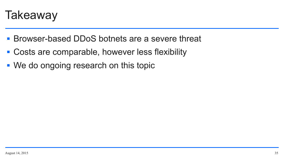

- Browser-based DDoS botnets are a severe threat
- Costs are comparable, however less flexibility
- We do ongoing research on this topic